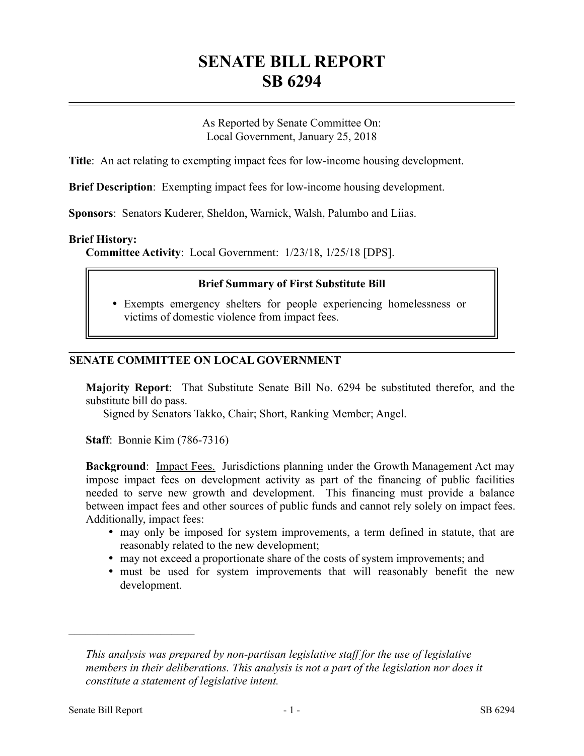# **SENATE BILL REPORT SB 6294**

As Reported by Senate Committee On: Local Government, January 25, 2018

**Title**: An act relating to exempting impact fees for low-income housing development.

**Brief Description**: Exempting impact fees for low-income housing development.

**Sponsors**: Senators Kuderer, Sheldon, Warnick, Walsh, Palumbo and Liias.

## **Brief History:**

**Committee Activity**: Local Government: 1/23/18, 1/25/18 [DPS].

#### **Brief Summary of First Substitute Bill**

 Exempts emergency shelters for people experiencing homelessness or victims of domestic violence from impact fees.

# **SENATE COMMITTEE ON LOCAL GOVERNMENT**

**Majority Report**: That Substitute Senate Bill No. 6294 be substituted therefor, and the substitute bill do pass.

Signed by Senators Takko, Chair; Short, Ranking Member; Angel.

**Staff**: Bonnie Kim (786-7316)

**Background:** Impact Fees. Jurisdictions planning under the Growth Management Act may impose impact fees on development activity as part of the financing of public facilities needed to serve new growth and development. This financing must provide a balance between impact fees and other sources of public funds and cannot rely solely on impact fees. Additionally, impact fees:

- may only be imposed for system improvements, a term defined in statute, that are reasonably related to the new development;
- may not exceed a proportionate share of the costs of system improvements; and
- must be used for system improvements that will reasonably benefit the new development.

––––––––––––––––––––––

*This analysis was prepared by non-partisan legislative staff for the use of legislative members in their deliberations. This analysis is not a part of the legislation nor does it constitute a statement of legislative intent.*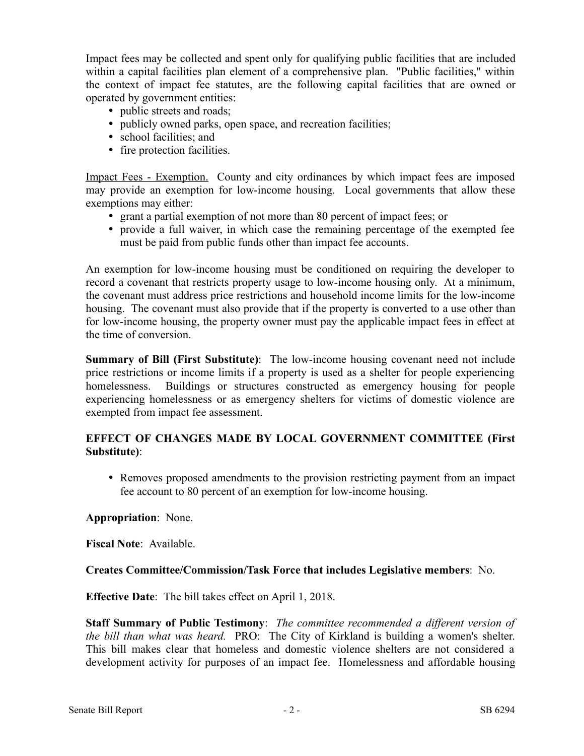Impact fees may be collected and spent only for qualifying public facilities that are included within a capital facilities plan element of a comprehensive plan. "Public facilities," within the context of impact fee statutes, are the following capital facilities that are owned or operated by government entities:

- public streets and roads;
- publicly owned parks, open space, and recreation facilities;
- school facilities; and
- fire protection facilities.

Impact Fees - Exemption. County and city ordinances by which impact fees are imposed may provide an exemption for low-income housing. Local governments that allow these exemptions may either:

- grant a partial exemption of not more than 80 percent of impact fees; or
- provide a full waiver, in which case the remaining percentage of the exempted fee must be paid from public funds other than impact fee accounts.

An exemption for low-income housing must be conditioned on requiring the developer to record a covenant that restricts property usage to low-income housing only. At a minimum, the covenant must address price restrictions and household income limits for the low-income housing. The covenant must also provide that if the property is converted to a use other than for low-income housing, the property owner must pay the applicable impact fees in effect at the time of conversion.

**Summary of Bill (First Substitute)**: The low-income housing covenant need not include price restrictions or income limits if a property is used as a shelter for people experiencing homelessness. Buildings or structures constructed as emergency housing for people experiencing homelessness or as emergency shelters for victims of domestic violence are exempted from impact fee assessment.

# **EFFECT OF CHANGES MADE BY LOCAL GOVERNMENT COMMITTEE (First Substitute)**:

 Removes proposed amendments to the provision restricting payment from an impact fee account to 80 percent of an exemption for low-income housing.

## **Appropriation**: None.

**Fiscal Note**: Available.

## **Creates Committee/Commission/Task Force that includes Legislative members**: No.

**Effective Date**: The bill takes effect on April 1, 2018.

**Staff Summary of Public Testimony**: *The committee recommended a different version of the bill than what was heard.* PRO: The City of Kirkland is building a women's shelter. This bill makes clear that homeless and domestic violence shelters are not considered a development activity for purposes of an impact fee. Homelessness and affordable housing